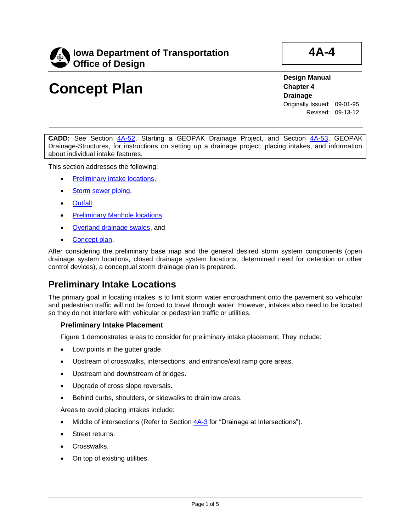

# **Concept Plan**

**Design Manual Chapter 4 Drainage**

Originally Issued: 09-01-95 Revised: 09-13-12

**CADD:** See Section [4A-52,](04a-52.pdf) Starting a GEOPAK Drainage Project, and Section [4A-53,](04a-53.pdf) GEOPAK Drainage-Structures, for instructions on setting up a drainage project, placing intakes, and information about individual intake features.

This section addresses the following:

- [Preliminary intake locations,](#page-0-0)
- [Storm sewer piping,](#page-2-0)
- **[Outfall,](#page-3-0)**
- [Preliminary Manhole locations,](#page-2-1)
- [Overland drainage swales,](#page-3-0) and
- [Concept plan.](#page-3-1)

After considering the preliminary base map and the general desired storm system components (open drainage system locations, closed drainage system locations, determined need for detention or other control devices), a conceptual storm drainage plan is prepared.

## <span id="page-0-0"></span>**Preliminary Intake Locations**

The primary goal in locating intakes is to limit storm water encroachment onto the pavement so vehicular and pedestrian traffic will not be forced to travel through water. However, intakes also need to be located so they do not interfere with vehicular or pedestrian traffic or utilities.

#### **Preliminary Intake Placement**

Figure 1 demonstrates areas to consider for preliminary intake placement. They include:

- Low points in the gutter grade.
- Upstream of crosswalks, intersections, and entrance/exit ramp gore areas.
- Upstream and downstream of bridges.
- Upgrade of cross slope reversals.
- Behind curbs, shoulders, or sidewalks to drain low areas.

Areas to avoid placing intakes include:

- Middle of intersections (Refer to Section [4A-3](04a-03.pdf) for "Drainage at Intersections").
- Street returns.
- Crosswalks.
- On top of existing utilities.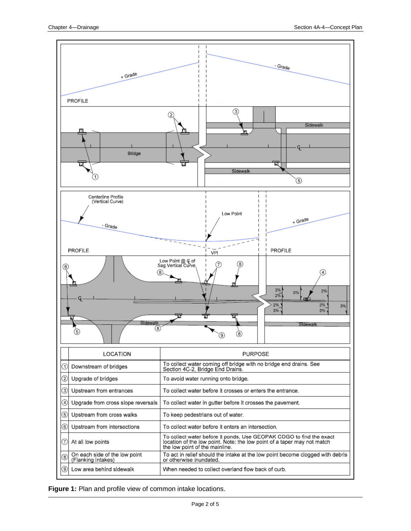

**Figure 1:** Plan and profile view of common intake locations.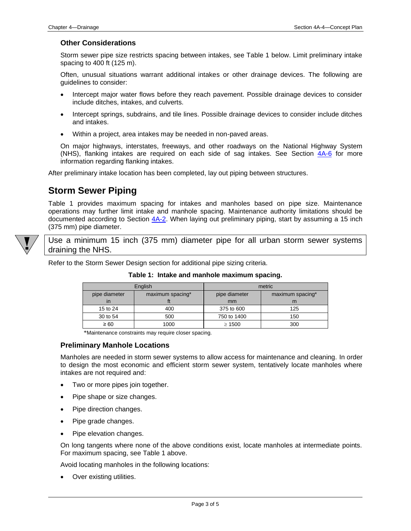#### **Other Considerations**

Storm sewer pipe size restricts spacing between intakes, see Table 1 below. Limit preliminary intake spacing to 400 ft (125 m).

Often, unusual situations warrant additional intakes or other drainage devices. The following are guidelines to consider:

- Intercept major water flows before they reach pavement. Possible drainage devices to consider include ditches, intakes, and culverts.
- Intercept springs, subdrains, and tile lines. Possible drainage devices to consider include ditches and intakes.
- Within a project, area intakes may be needed in non-paved areas.

On major highways, interstates, freeways, and other roadways on the National Highway System (NHS), flanking intakes are required on each side of sag intakes. See Section [4A-6](04a-06.pdf) for more information regarding flanking intakes.

<span id="page-2-0"></span>After preliminary intake location has been completed, lay out piping between structures.

## **Storm Sewer Piping**

Table 1 provides maximum spacing for intakes and manholes based on pipe size. Maintenance operations may further limit intake and manhole spacing. Maintenance authority limitations should be documented according to Section [4A-2.](04a-02.pdf) When laying out preliminary piping, start by assuming a 15 inch (375 mm) pipe diameter.



Use a minimum 15 inch (375 mm) diameter pipe for all urban storm sewer systems draining the NHS.

Refer to the Storm Sewer Design section for additional pipe sizing criteria.

| English       |                  | metric        |                  |
|---------------|------------------|---------------|------------------|
| pipe diameter | maximum spacing* | pipe diameter | maximum spacing* |
| ın            |                  | mm            | m                |
| 15 to 24      | 400              | 375 to 600    | 125              |
| 30 to 54      | 500              | 750 to 1400   | 150              |
| $\geq 60$     | 1000             | $\geq 1500$   | 300              |

#### **Table 1: Intake and manhole maximum spacing.**

\*Maintenance constraints may require closer spacing.

#### <span id="page-2-1"></span>**Preliminary Manhole Locations**

Manholes are needed in storm sewer systems to allow access for maintenance and cleaning. In order to design the most economic and efficient storm sewer system, tentatively locate manholes where intakes are not required and:

- Two or more pipes join together.
- Pipe shape or size changes.
- Pipe direction changes.
- Pipe grade changes.
- Pipe elevation changes.

On long tangents where none of the above conditions exist, locate manholes at intermediate points. For maximum spacing, see Table 1 above.

Avoid locating manholes in the following locations:

• Over existing utilities.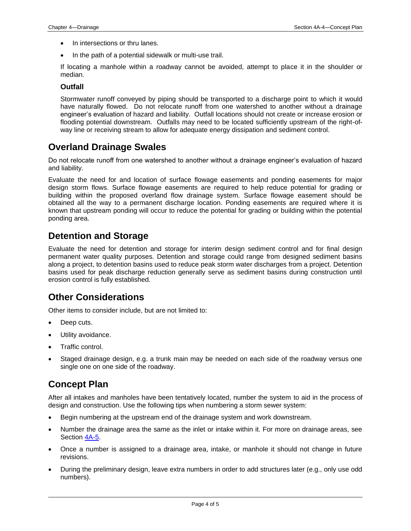- In intersections or thru lanes.
- In the path of a potential sidewalk or multi-use trail.

If locating a manhole within a roadway cannot be avoided, attempt to place it in the shoulder or median.

#### <span id="page-3-0"></span>**Outfall**

Stormwater runoff conveyed by piping should be transported to a discharge point to which it would have naturally flowed. Do not relocate runoff from one watershed to another without a drainage engineer's evaluation of hazard and liability. Outfall locations should not create or increase erosion or flooding potential downstream. Outfalls may need to be located sufficiently upstream of the right-ofway line or receiving stream to allow for adequate energy dissipation and sediment control.

## **Overland Drainage Swales**

Do not relocate runoff from one watershed to another without a drainage engineer's evaluation of hazard and liability.

Evaluate the need for and location of surface flowage easements and ponding easements for major design storm flows. Surface flowage easements are required to help reduce potential for grading or building within the proposed overland flow drainage system. Surface flowage easement should be obtained all the way to a permanent discharge location. Ponding easements are required where it is known that upstream ponding will occur to reduce the potential for grading or building within the potential ponding area.

## **Detention and Storage**

Evaluate the need for detention and storage for interim design sediment control and for final design permanent water quality purposes. Detention and storage could range from designed sediment basins along a project, to detention basins used to reduce peak storm water discharges from a project. Detention basins used for peak discharge reduction generally serve as sediment basins during construction until erosion control is fully established.

## **Other Considerations**

Other items to consider include, but are not limited to:

- Deep cuts.
- Utility avoidance.
- Traffic control.
- Staged drainage design, e.g. a trunk main may be needed on each side of the roadway versus one single one on one side of the roadway.

## <span id="page-3-1"></span>**Concept Plan**

After all intakes and manholes have been tentatively located, number the system to aid in the process of design and construction. Use the following tips when numbering a storm sewer system:

- Begin numbering at the upstream end of the drainage system and work downstream.
- Number the drainage area the same as the inlet or intake within it. For more on drainage areas, see Section [4A-5.](04a-05.pdf)
- Once a number is assigned to a drainage area, intake, or manhole it should not change in future revisions.
- During the preliminary design, leave extra numbers in order to add structures later (e.g., only use odd numbers).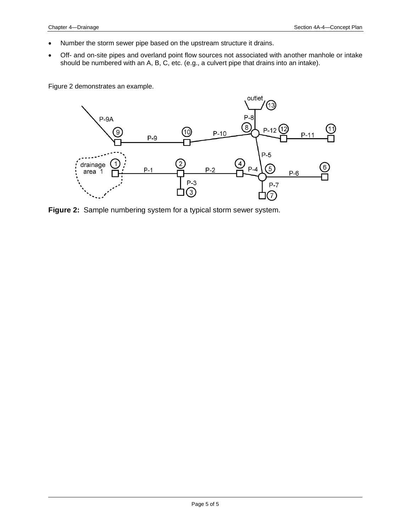- Number the storm sewer pipe based on the upstream structure it drains.
- Off- and on-site pipes and overland point flow sources not associated with another manhole or intake should be numbered with an A, B, C, etc. (e.g., a culvert pipe that drains into an intake).

Figure 2 demonstrates an example.



**Figure 2:** Sample numbering system for a typical storm sewer system.